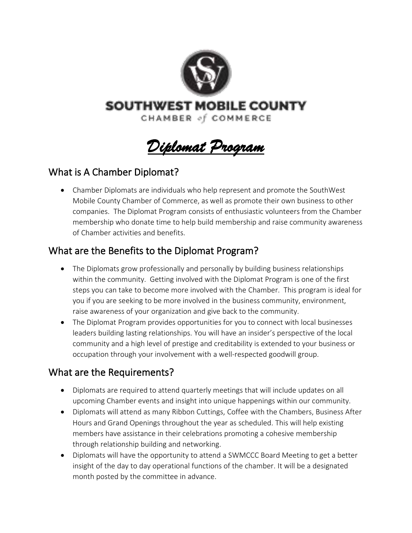

**SOUTHWEST MOBILE COUNTY** 

CHAMBER of COMMERCE

*Diplomat Program* 

## What is A Chamber Diplomat?

• Chamber Diplomats are individuals who help represent and promote the SouthWest Mobile County Chamber of Commerce, as well as promote their own business to other companies. The Diplomat Program consists of enthusiastic volunteers from the Chamber membership who donate time to help build membership and raise community awareness of Chamber activities and benefits.

## What are the Benefits to the Diplomat Program?

- The Diplomats grow professionally and personally by building business relationships within the community. Getting involved with the Diplomat Program is one of the first steps you can take to become more involved with the Chamber. This program is ideal for you if you are seeking to be more involved in the business community, environment, raise awareness of your organization and give back to the community.
- The Diplomat Program provides opportunities for you to connect with local businesses leaders building lasting relationships. You will have an insider's perspective of the local community and a high level of prestige and creditability is extended to your business or occupation through your involvement with a well-respected goodwill group.

## What are the Requirements?

- Diplomats are required to attend quarterly meetings that will include updates on all upcoming Chamber events and insight into unique happenings within our community.
- Diplomats will attend as many Ribbon Cuttings, Coffee with the Chambers, Business After Hours and Grand Openings throughout the year as scheduled. This will help existing members have assistance in their celebrations promoting a cohesive membership through relationship building and networking.
- Diplomats will have the opportunity to attend a SWMCCC Board Meeting to get a better insight of the day to day operational functions of the chamber. It will be a designated month posted by the committee in advance.